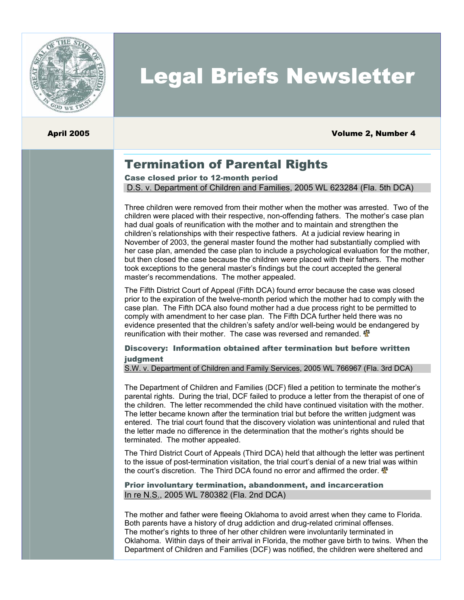

# Legal Briefs Newsletter

April 2005 Volume 2, Number 4

## Termination of Parental Rights

Case closed prior to 12-month period

D.S. v. Department of Children and Families, 2005 WL 623284 (Fla. 5th DCA)

Three children were removed from their mother when the mother was arrested. Two of the children were placed with their respective, non-offending fathers. The mother's case plan had dual goals of reunification with the mother and to maintain and strengthen the children's relationships with their respective fathers. At a judicial review hearing in November of 2003, the general master found the mother had substantially complied with her case plan, amended the case plan to include a psychological evaluation for the mother, but then closed the case because the children were placed with their fathers. The mother took exceptions to the general master's findings but the court accepted the general master's recommendations. The mother appealed.

The Fifth District Court of Appeal (Fifth DCA) found error because the case was closed prior to the expiration of the twelve-month period which the mother had to comply with the case plan. The Fifth DCA also found mother had a due process right to be permitted to comply with amendment to her case plan. The Fifth DCA further held there was no evidence presented that the children's safety and/or well-being would be endangered by reunification with their mother. The case was reversed and remanded.  $\mathbf{\Phi}$ 

#### Discovery: Information obtained after termination but before written judgment

S.W. v. Department of Children and Family Services, 2005 WL 766967 (Fla. 3rd DCA)

The Department of Children and Families (DCF) filed a petition to terminate the mother's parental rights. During the trial, DCF failed to produce a letter from the therapist of one of the children. The letter recommended the child have continued visitation with the mother. The letter became known after the termination trial but before the written judgment was entered. The trial court found that the discovery violation was unintentional and ruled that the letter made no difference in the determination that the mother's rights should be terminated. The mother appealed.

The Third District Court of Appeals (Third DCA) held that although the letter was pertinent to the issue of post-termination visitation, the trial court's denial of a new trial was within the court's discretion. The Third DCA found no error and affirmed the order.  $\mathbf{\Phi}$ 

#### Prior involuntary termination, abandonment, and incarceration In re N.S., 2005 WL 780382 (Fla. 2nd DCA)

The mother and father were fleeing Oklahoma to avoid arrest when they came to Florida. Both parents have a history of drug addiction and drug-related criminal offenses. The mother's rights to three of her other children were involuntarily terminated in Oklahoma. Within days of their arrival in Florida, the mother gave birth to twins. When the Department of Children and Families (DCF) was notified, the children were sheltered and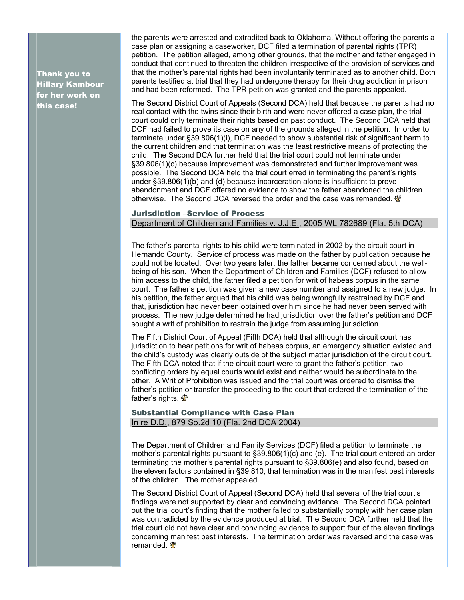Thank you to Hillary Kambour for her work on this case!

the parents were arrested and extradited back to Oklahoma. Without offering the paren ts a case plan or assigning a caseworker, DCF filed a termination of parental rights (TPR) petition. The petition alleged, among other grounds, that the mother and father engaged in conduct that continued to threaten the children irrespective of the provision of services and that the mother's parental rights had been involuntarily terminated as to another child. Bot h parents testified at trial that they had undergone therapy for their drug addiction in p rison and had been reformed. The TPR petition was granted and the parents appealed.

The Second District Court of Appeals (Second DCA) held that because the parents had no the current children and that termination was the least restrictive means of protecting the possible. The Second DCA held the trial court erred in terminating the parent's rights abandonment and DCF offered no evidence to show the father abandoned the children otherwise. The Second DCA reversed the order and the case was remanded. real contact with the twins since their birth and were never offered a case plan, the trial court could only terminate their rights based on past conduct. The Second DCA held that DCF had failed to prove its case on any of the grounds alleged in the petition. In order to terminate under §39.806(1)(i), DCF needed to show substantial risk of significant harm to child. The Second DCA further held that the trial court could not terminate under §39.806(1)(c) because improvement was demonstrated and further improvement was under §39.806(1)(b) and (d) because incarceration alone is insufficient to prove

#### Jurisdiction –Service of Process Department of Children and Families v. J.J.E., 2005 WL 782689 (Fla. 5th DCA)

court. The father's petition was given a new case number and assigned to a new judge. In process. The new judge determined he had jurisdiction over the father's petition and DCF The father's parental rights to his child were terminated in 2002 by the circuit court in Hernando County. Service of process was made on the father by publication because he could not be located. Over two years later, the father became concerned about the wellbeing of his son. When the Department of Children and Families (DCF) refused to allow him access to the child, the father filed a petition for writ of habeas corpus in the same his petition, the father argued that his child was being wrongfully restrained by DCF and that, jurisdiction had never been obtained over him since he had never been served with sought a writ of prohibition to restrain the judge from assuming jurisdiction.

the child's custody was clearly outside of the subject matter jurisdiction of the circuit court. father's petition or transfer the proceeding to the court that ordered the termination of the The Fifth District Court of Appeal (Fifth DCA) held that although the circuit court has jurisdiction to hear petitions for writ of habeas corpus, an emergency situation existed and The Fifth DCA noted that if the circuit court were to grant the father's petition, two conflicting orders by equal courts would exist and neither would be subordinate to the other. A Writ of Prohibition was issued and the trial court was ordered to dismiss the father's rights.  $\mathbf{\Phi}$ 

#### Substantial Compliance with Case Plan In re D.D., 879 So.2d 10 (Fla. 2nd DCA 2004)

mother's parental rights pursuant to §39.806(1)(c) and (e). The trial court entered an order the eleven factors contained in §39.810, that termination was in the manifest best interests The Department of Children and Family Services (DCF) filed a petition to terminate the terminating the mother's parental rights pursuant to §39.806(e) and also found, based on of the children. The mother appealed.

concerning manifest best interests. The termination order was reversed and the case was remanded. The Second District Court of Appeal (Second DCA) held that several of the trial court's findings were not supported by clear and convincing evidence. The Second DCA pointed out the trial court's finding that the mother failed to substantially comply with her case plan was contradicted by the evidence produced at trial. The Second DCA further held that the trial court did not have clear and convincing evidence to support four of the eleven findings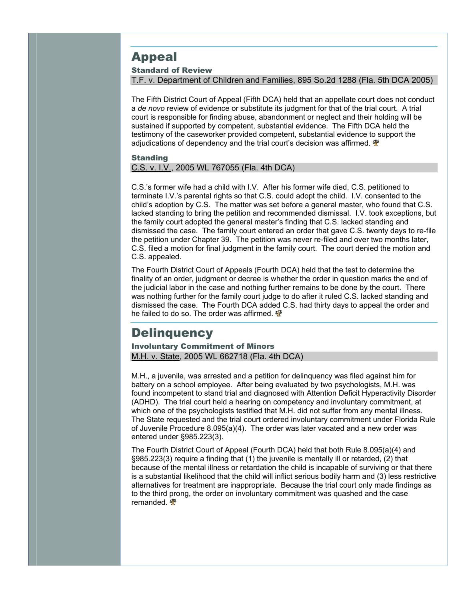## Appeal

#### Standard of Review

T.F. v. Department of Children and Families, 895 So.2d 1288 (Fla. 5th DCA 2005)

The Fifth District Court of Appeal (Fifth DCA) held that an appellate court does not conduct a *de novo* review of evidence or substitute its judgment for that of the trial court. A trial court is responsible for finding abuse, abandonment or neglect and their holding will be sustained if supported by competent, substantial evidence. The Fifth DCA held the testimony of the caseworker provided competent, substantial evidence to su pport the adjudications of dependency and the trial court's decision was affirmed.  $\mathbf{\Phi}$ 

#### **Standing**

C.S. v. I.V., 2005 WL 767055 (Fla. 4th DCA)

C.S.'s former wife had a child with I.V. After his former wife died, C.S. petitioned to terminate I.V.'s parental rights so that C.S. could adopt the child. I.V. consented to the child's adoption by C.S. The matter was set before a general master, who found that C.S. lacked standing to bring the petition and recommended dismissal. I.V. took exceptions, but the family court adopted the general master's finding that C.S. lacked standing and dismissed the case. The family court entered an order that gave C.S. twenty days to re-file the petition under Chapter 39. The petition was never re-filed and over two months later, C.S. filed a motion for final judgment in the family court. The court denied the motion and C.S. appealed.

dismissed the case. The Fourth DCA added C.S. had thirty days to appeal the order and he failed to do so. The order was affirmed. The Fourth District Court of Appeals (Fourth DCA) held that the test to determine the finality of an order, judgment or decree is whether the order in question marks the end of the judicial labor in the case and nothing further remains to be done by the court. There was nothing further for the family court judge to do after it ruled C.S. lacked standing and

## **Delinquency**

Involuntary Commitment of Minors M.H. v. State, 2005 WL 662718 (Fla. 4th DCA)

M.H., a juvenile, was arrested and a petition for delinquency was filed against him for battery on a school employee. After being evaluated by two psychologists, M.H. was found incompetent to stand trial and diagnosed with Attention Deficit Hyperactivity Disord er (ADHD). The trial court held a hearing on competency and involuntary commitment, at which one of the psychologists testified that M.H. did not suffer from any mental illness. The State requested and the trial court ordered involuntary commitment under Florida R ule of Juvenile Procedure 8.095(a)(4). The order was later vacated and a new order was entered under §985.223(3).

alternatives for treatment are inappropriate. Because the trial court only made findings as to the third prong, the order on involuntary commitment was quashed and the case remanded. The Fourth District Court of Appeal (Fourth DCA) held that both Rule 8.095(a)(4) and §985.223(3) require a finding that (1) the juvenile is mentally ill or retarded, (2) that because of the mental illness or retardation the child is incapable of surviving or that there is a substantial likelihood that the child will inflict serious bodily harm and (3) less restrictive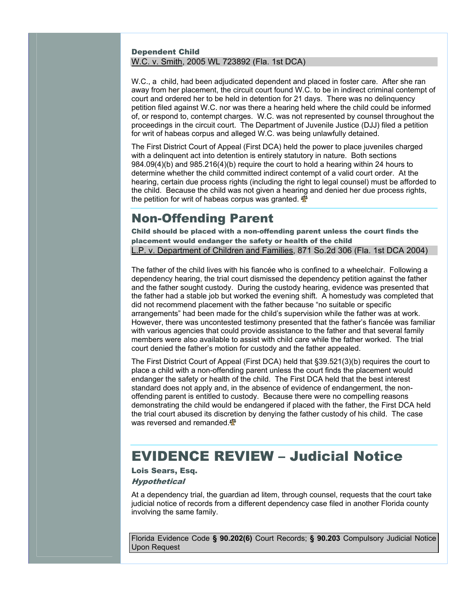#### Dependent Child W.C. v. Smith, 2005 WL 723892 (Fla. 1st DCA)

W.C., a child, had been adjudicated dependent and placed in foster care. After she ran away from her placement, the circuit court found W.C. to be in indirect criminal contempt of court and ordered her to be held in detention for 21 days. There was no delinquency petition filed against W.C. nor was there a hearing held where the child could be informed of, or respond to, contempt charges. W.C. was not represented by counsel throughout the proceedings in the circuit court. The Department of Juvenile Justice (DJJ) filed a petition for writ of habeas corpus and alleged W.C. was being unlawfully detained.

The First District Court of Appeal (First DCA) held the power to place juveniles charged hearing, certain due process rights (including the right to legal counsel) must be afforded to the child. Because the child was not given a hearing and denied her due process rights, the petition for writ of habeas corpus was granted. with a delinquent act into detention is entirely statutory in nature. Both sections 984.09(4)(b) and 985.216(4)(b) require the court to hold a hearing within 24 hours to determine whether the child committed indirect contempt of a valid court order. At the

## Non-Offending Parent

Child should be placed with a non-offending parent unless the court finds the placement would endanger the safety or health of the child L.P. v. Department of Children and Families, 871 So.2d 306 (Fla. 1st DCA 2004)

The father of the child lives with his fiancée who is confined to a wheelchair. Following a dependency hearing, the trial court dismissed the dependency petition against the father and the father sought custody. During the custody hearing, evidence was presented that the father had a stable job but worked the evening shift. A homestudy was completed th at did not recommend placement with the father because "no suitable or specific arrangements" had been made for the child's supervision while the father was at work. However, there was uncontested testimony presented that the father's fiancée was famili ar with various agencies that could provide assistance to the father and that several family members were also available to assist with child care while the father worked. The trial court denied the father's motion for custody and the father appealed.

The First District Court of Appeal (First DCA) held that §39.521(3)(b) requires the court to demonstrating the child would be endangered if placed with the father, the First DCA held the trial court abused its discretion by denying the father custody of his child. The case was reversed and remanded. place a child with a non-offending parent unless the court finds the placement would endanger the safety or health of the child. The First DCA held that the best interest standard does not apply and, in the absence of evidence of endangerment, the nonoffending parent is entitled to custody. Because there were no compelling reasons

## EVIDENCE REVIEW – Judicial Notice

### Lois Sears, Esq.

#### **Hypothetical**

judicial notice of records from a different dependency case filed in another Florida county involving the same family. At a dependency trial, the guardian ad litem, through counsel, requests that the court take

Florida Evidence Code **§ 90.202(6)** Court Records; **§ 90.203** Compulsory Judicial Notice Upon Request